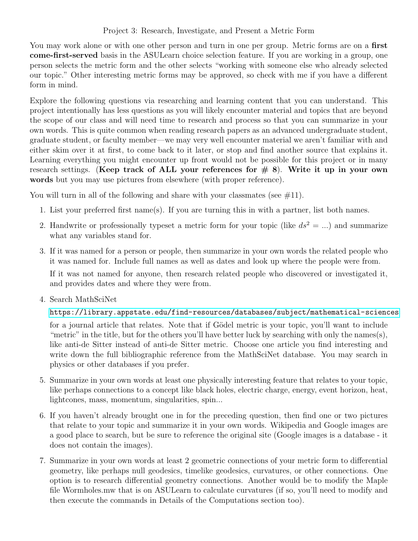## Project 3: Research, Investigate, and Present a Metric Form

You may work alone or with one other person and turn in one per group. Metric forms are on a first come-first-served basis in the ASULearn choice selection feature. If you are working in a group, one person selects the metric form and the other selects "working with someone else who already selected our topic." Other interesting metric forms may be approved, so check with me if you have a different form in mind.

Explore the following questions via researching and learning content that you can understand. This project intentionally has less questions as you will likely encounter material and topics that are beyond the scope of our class and will need time to research and process so that you can summarize in your own words. This is quite common when reading research papers as an advanced undergraduate student, graduate student, or faculty member—we may very well encounter material we aren't familiar with and either skim over it at first, to come back to it later, or stop and find another source that explains it. Learning everything you might encounter up front would not be possible for this project or in many research settings. (Keep track of ALL your references for  $# 8$ ). Write it up in your own words but you may use pictures from elsewhere (with proper reference).

You will turn in all of the following and share with your classmates (see  $\#11$ ).

- 1. List your preferred first name(s). If you are turning this in with a partner, list both names.
- 2. Handwrite or professionally typeset a metric form for your topic (like  $ds^2 = ...$ ) and summarize what any variables stand for.
- 3. If it was named for a person or people, then summarize in your own words the related people who it was named for. Include full names as well as dates and look up where the people were from.

If it was not named for anyone, then research related people who discovered or investigated it, and provides dates and where they were from.

4. Search MathSciNet

<https://library.appstate.edu/find-resources/databases/subject/mathematical-sciences>

for a journal article that relates. Note that if Gödel metric is your topic, you'll want to include "metric" in the title, but for the others you'll have better luck by searching with only the names(s), like anti-de Sitter instead of anti-de Sitter metric. Choose one article you find interesting and write down the full bibliographic reference from the MathSciNet database. You may search in physics or other databases if you prefer.

- 5. Summarize in your own words at least one physically interesting feature that relates to your topic, like perhaps connections to a concept like black holes, electric charge, energy, event horizon, heat, lightcones, mass, momentum, singularities, spin...
- 6. If you haven't already brought one in for the preceding question, then find one or two pictures that relate to your topic and summarize it in your own words. Wikipedia and Google images are a good place to search, but be sure to reference the original site (Google images is a database - it does not contain the images).
- 7. Summarize in your own words at least 2 geometric connections of your metric form to differential geometry, like perhaps null geodesics, timelike geodesics, curvatures, or other connections. One option is to research differential geometry connections. Another would be to modify the Maple file Wormholes.mw that is on ASULearn to calculate curvatures (if so, you'll need to modify and then execute the commands in Details of the Computations section too).